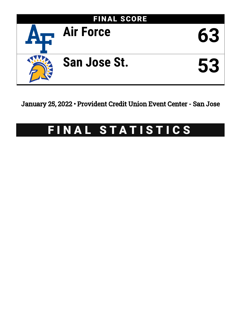

January 25, 2022 • Provident Credit Union Event Center - San Jose

# FINAL STATISTICS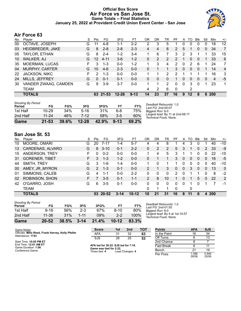### **Official Box Score Air Force vs San Jose St. Game Totals -- Final Statistics January 25, 2022 at Provident Credit Union Event Center - San Jose**



## **Air Force 63**

| No. | Plaver                | S  | <b>Pts</b> | FG.      | 3FG       | FТ       | OR | DR | TR             | РF             | A        | TO      | <b>B</b> lk  | Stl          | Min   | $+/-$             |
|-----|-----------------------|----|------------|----------|-----------|----------|----|----|----------------|----------------|----------|---------|--------------|--------------|-------|-------------------|
| 00  | OCTAVE, JOSEPH        | G  | 11         | 4-8      | $1 - 1$   | $2 - 2$  | 2  | 3  | 5              |                | 0        | 0       | 0            | 0            | 18    | $12 \overline{ }$ |
| 03  | HEIDBREDER, JAKE      | G  | 8          | $2 - 8$  | $2 - 8$   | $2 - 3$  | 4  | 4  | 8              | $\overline{2}$ | 5        |         | $\mathbf{0}$ | $\mathbf{0}$ | 34    | $\overline{7}$    |
| 05  | TAYLOR, ETHAN         | G  | 8          | $2 - 4$  | $1 - 2$   | 3-4      |    | 6  | 7              | 3              | 2        | 3       |              |              | 33    | 15                |
| 10  | WALKER, AJ            | G  | 12         | $4 - 11$ | $3-6$     | $1 - 2$  | 0  | 2  | 2              | 2              | 1        | 0       | $\mathbf{0}$ | 1            | 33    | 6                 |
| 35  | MOERMAN, LUCAS        | F. | 3          | $1 - 3$  | $0 - 0$   | $1-2$    |    | 3  | 4              | 2              | $\Omega$ | 2       | 6            | 1            | 24    | 7                 |
| 04  | <b>MURPHY, CARTER</b> | G  | 10         | $4-6$    | $2 - 3$   | $0 - 0$  | 0  | 1  |                | 3              | $\Omega$ | 0       | $\Omega$     | 1            | 14    | $\overline{4}$    |
| 22  | <b>JACKSON, NIKC</b>  | F  | 2          | $1 - 3$  | $0 - 0$   | $0 - 0$  |    |    | $\overline{2}$ | 2              |          |         |              |              | 16    | 3                 |
| 24  | MILLS, JEFFREY        | G  | 0          | $0 - 1$  | $0 - 1$   | $0 - 0$  | 0  | 0  | 0              | 1.             | 0        | 0       | $\Omega$     | $\Omega$     | 4     | $-5$              |
| 30  | VANDER ZWAAG, CAMDEN  | G  | 9          | $3-9$    | $3 - 7$   | $0 - 0$  |    |    | 2              | 0              | 0        | 3       | $\Omega$     | 1            | 23    | 1                 |
|     | <b>TEAM</b>           |    |            |          |           |          |    | 2  | 6              | 0              |          | 2       |              |              |       |                   |
|     | <b>TOTALS</b>         |    |            | 63 21-53 | $12 - 28$ | $9 - 13$ | 14 | 23 | 37             | 16             | 9        | $12 \,$ | 8            |              | 6 200 |                   |

| Game                                | $21 - 53$ | 39.6% | $12 - 28$ | 42.9% | $9 - 13$ | 69.2% |
|-------------------------------------|-----------|-------|-----------|-------|----------|-------|
| 2nd Half                            | $11 - 24$ | 46%   | 7-12      | 58%   | $3-5$    | 60%   |
| 1st Half                            | $10 - 29$ | 34%   | $5 - 16$  | 31%   | 6-8      | 75%   |
| <b>Shooting By Period</b><br>Period | FG        | FG%   | 3FG       | 3FG%  | FT       | FT%   |

*Deadball Rebounds:* 1,0 *Last FG:* 2nd-00:07 *Biggest Run:* 6-0 *Largest lead:* By 11 at 2nd-08:17 *Technical Fouls:* None.

# **San Jose St. 53**

| No. | Player                | S  | <b>Pts</b>    | FG       | 3FG      | FT        | OR            | DR | TR             | РF       | A        | TO | <b>BIK</b> | Stl          | Min | $+/-$        |
|-----|-----------------------|----|---------------|----------|----------|-----------|---------------|----|----------------|----------|----------|----|------------|--------------|-----|--------------|
| 10  | MOORE, OMARI          | G  | 20            | $7 - 17$ | 1-4      | $5 - 7$   | 4             | 4  | 8              |          | 4        | 3  | 0          |              | 40  | $-10$        |
| 13  | CARDENAS, ALVARO      | G  | 8             | $3 - 10$ | $0 - 1$  | $2 - 2$   | 0             | 2  | $\overline{2}$ | 5        | 3        |    | 0          | 2            | 33  | -9           |
| 15  | ANDERSON, TREY        | F  | 0             | $0 - 2$  | $0 - 0$  | $0 - 0$   | 1             | 4  | 5              | 3        |          |    | 0          | 0            | 22  | $-15$        |
| 31  | <b>GORENER, TIBET</b> | F. | 3             | $1 - 3$  | $1 - 2$  | $0 - 0$   | 0             |    |                | 3        | 0        | 0  | 0          | 0            | 16  | -5           |
| 44  | SMITH, TREY           | G  | 3             | 1-6      | 1-4      | $0 - 0$   |               | 0  |                |          | 0        | 0  | 0          | 0            | 40  | $-10$        |
| 00  | AMEY, JR., MYRON      | G  | $\mathcal{P}$ | $1 - 3$  | $0 - 1$  | $0 - 0$   | 2             |    | 3              | 0        | 0        | 3  | $\Omega$   | $\mathbf{0}$ | 13  | $\mathbf{0}$ |
| 01  | SIMMONS, CALEB        | G  | 4             | $1 - 1$  | $0 - 0$  | $2 - 2$   | 0             | 0  | 0              | 2        | 0        |    |            | 0            | 8   | $-2$         |
| 02  | ROBINSON, SHON        | F. | 7             | $3 - 5$  | $0 - 1$  | $1 - 1$   | $\mathcal{P}$ | 8  | 10             | 1        | 0        |    | 5          | $\Omega$     | 22  | 2            |
| 42  | O'GARRO, JOSH         | G  | 6             | $3-5$    | $0 - 1$  | $0 - 0$   | 0             | 0  | $\Omega$       | 0        | $\Omega$ |    | $\Omega$   |              | 7   | -1           |
|     | <b>TEAM</b>           |    |               |          |          |           | 0             | 1  |                | $\Omega$ |          | 0  |            |              |     |              |
|     | <b>TOTALS</b>         |    | 53            | 20-52    | $3 - 14$ | $10 - 12$ | 10            | 21 | 31             | 16       | 8        | 11 | 6          | 4            | 200 |              |

| Game                                | 20-52    | 38.5% | $3 - 14$ | 21.4% | $10 - 12$ | 83.3%   |
|-------------------------------------|----------|-------|----------|-------|-----------|---------|
| 2nd Half                            | 11-36    | 31%   | 1-11     | 09%   | $2-2$     | $100\%$ |
| 1st Half                            | $9 - 16$ | 56%   | $2 - 3$  | 67%   | 8-10      | 80%     |
| <b>Shooting By Period</b><br>Period | FG       | FG%   | 3FG      | 3FG%  | FT        | FT%     |

*Deadball Rebounds:* 1,0 *Last FG:* 2nd-01:55 *Biggest Run:* 8-0 *Largest lead:* By 4 at 1st-10:57 *Technical Fouls:* None.

| Game Notes:                                                           | <b>Score</b>                             | 1st | 2nd             | тот               | <b>Points</b> | <b>AFA</b>     | <b>SJS</b>     |
|-----------------------------------------------------------------------|------------------------------------------|-----|-----------------|-------------------|---------------|----------------|----------------|
| Officials: Mike Reed, Frank Harvey, Kelly Pfeifer<br>Attendance: 1743 | AFA                                      | 31  | 32              | 63                | In the Paint  | 16             | 34             |
|                                                                       | SJS                                      | 28  | 25              | 53                | Off Turns     |                | 13             |
| Start Time: 10:05 PM ET                                               |                                          |     |                 |                   | 2nd Chance    |                |                |
| End Time: 12:01 AM ET<br>Game Duration: 1:56                          | AFA led for 30:22, SJS led for 7:16.     |     |                 | <b>Fast Break</b> |               |                |                |
| Conference Game:                                                      | Game was tied for 2:22.<br>Times tied: 4 |     | Lead Changes: 4 |                   | Bench         | 21             | 19             |
|                                                                       |                                          |     |                 |                   | Per Poss      | 1.086<br>26/58 | 0.946<br>25/56 |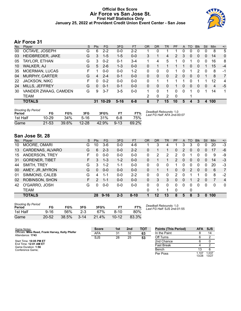### **Official Box Score Air Force vs San Jose St. First Half Statistics Only January 25, 2022 at Provident Credit Union Event Center - San Jose**



# **Air Force 31**

| No. | Plaver                | S  | <b>Pts</b> | <b>FG</b> | 3FG      | <b>FT</b> | <b>OR</b> | DR | TR             | PF             | A        | TO | <b>B</b> lk  | Stl      | Min | $+/-$          |
|-----|-----------------------|----|------------|-----------|----------|-----------|-----------|----|----------------|----------------|----------|----|--------------|----------|-----|----------------|
| 00  | OCTAVE, JOSEPH        | G  | 6          | $2 - 2$   | $0 - 0$  | $2 - 2$   |           | 0  |                |                | 0        | 0  | 0            | 0        | 8   | 5              |
| 03  | HEIDBREDER, JAKE      | G  | 3          | $1 - 5$   | $1 - 5$  | $0 - 0$   | 3         |    | 4              | $\overline{2}$ | 3        | 0  | $\mathbf{0}$ | $\Omega$ | 14  | $\mathbf{0}$   |
| 05  | TAYLOR, ETHAN         | G  | 3          | $0 - 2$   | $0 - 1$  | $3 - 4$   | 1.        | 4  | 5              |                | 0        | 1  | 0            | 0        | 16  | 8              |
| 10  | <b>WALKER, AJ</b>     | G  | 5          | $2-6$     | $1 - 3$  | $0 - 0$   | 0         |    |                |                |          | 0  | $\Omega$     |          | 15  | $-4$           |
| 35  | <b>MOERMAN, LUCAS</b> | F. |            | $0 - 0$   | $0 - 0$  | $1 - 2$   | 0         | 0  | 0              | 1              | 0        |    | 2            | $\Omega$ | 8   | $-1$           |
| 04  | <b>MURPHY, CARTER</b> | G  | 4          | $2 - 4$   | $0 - 1$  | $0 - 0$   | 0         | 0  | 0              | $\overline{2}$ | $\Omega$ | 0  | $\Omega$     |          | 8   | $\overline{7}$ |
| 22  | JACKSON, NIKC         | F  | 0          | $0 - 2$   | $0 - 0$  | $0-0$     | 0         |    |                |                |          | n  |              |          | 12  | 4              |
| 24  | MILLS, JEFFREY        | G  | 0          | $0 - 1$   | $0 - 1$  | $0 - 0$   | 0         | 0  | 0              |                | 0        | 0  | 0            | 0        | 4   | $-5$           |
| 30  | VANDER ZWAAG, CAMDEN  | G  | 9          | $3 - 7$   | 3-5      | $0 - 0$   |           | 0  |                | 0              | $\Omega$ |    | 0            |          | 14  | 1.             |
|     | <b>TEAM</b>           |    |            |           |          |           | 2         | 0  | $\overline{2}$ | $\mathbf 0$    |          |    |              |          |     |                |
|     | <b>TOTALS</b>         |    | 31         | $10 - 29$ | $5 - 16$ | $6 - 8$   | 8         |    | 15             | 10             | 5.       | 4  | 3            | 4        | 100 |                |

| <b>Shooting By Period</b><br>Period | FG        | FG%   | 3FG       | 3FG%  | FT.      | FT%   | Deadball Rebounds: 1,0<br>Last FG Half: AFA 2nd-00:07 |
|-------------------------------------|-----------|-------|-----------|-------|----------|-------|-------------------------------------------------------|
| 1st Half                            | $10 - 29$ | 34%   | $5-16$    | 31%   | հ-8      | 75%   |                                                       |
| Game                                | 21-53     | 39.6% | $12 - 28$ | 42.9% | $9 - 13$ | 69.2% |                                                       |

# **San Jose St. 28**

| No. | Plaver                | S  | <b>Pts</b>    | FG       | 3FG     | <b>FT</b> | <b>OR</b> | <b>DR</b> | TR | PF | A | TO | <b>Blk</b>     | Stl | Min | $+/-$          |
|-----|-----------------------|----|---------------|----------|---------|-----------|-----------|-----------|----|----|---|----|----------------|-----|-----|----------------|
| 10  | MOORE, OMARI          | G  | 10            | 3-6      | $0 - 0$ | $4-6$     |           | 3         | 4  |    | 3 | 3  | 0              | 0   | 20  | -3             |
| 13  | CARDENAS, ALVARO      | G  | 6             | $2 - 3$  | $0 - 0$ | $2 - 2$   | $\Omega$  |           |    | 0  | 2 | 0  | $\Omega$       | 0   | 17  | -6             |
| 15  | ANDERSON, TREY        | F  | 0             | $0 - 0$  | $0 - 0$ | $0-0$     | 0         | 2         | 2  | 2  | 0 |    | 0              | 0   | 9   | -9             |
| 31  | <b>GORENER, TIBET</b> | F. | 3             | $1 - 3$  | $1 - 2$ | $0 - 0$   | 0         |           |    | 2  | 0 | 0  | $\overline{0}$ | 0   | 14  | $-3$           |
| 44  | SMITH, TREY           | G  | 3             | $1 - 2$  | 1-1     | $0-0$     | 0         | 0         | 0  |    | 0 | 0  | 0              | 0   | 20  | -3             |
| 00  | AMEY, JR., MYRON      | G  | $\Omega$      | $0 - 0$  | $0 - 0$ | $0 - 0$   | 0         |           |    | 0  | 0 | 2  | 0              | 0   | 6   | $\overline{7}$ |
| 01  | SIMMONS, CALEB        | G  | 4             | $1 - 1$  | $0 - 0$ | $2 - 2$   | $\Omega$  | 0         | 0  | 2  | 0 |    |                | 0   | 8   | -2             |
| 02  | ROBINSON, SHON        | F. | $\mathcal{P}$ | $1 - 1$  | $0 - 0$ | $0 - 0$   | $\Omega$  | 3         | 3  | 0  | 0 | 1  | 2              | 0   | 7   | $\overline{4}$ |
| 42  | O'GARRO, JOSH         | G  | 0             | $0-0$    | $0 - 0$ | $0 - 0$   | 0         | 0         | 0  | 0  | 0 | 0  | 0              | 0   | 0   | $\mathbf 0$    |
|     | TEAM                  |    |               |          |         |           | 0         |           |    | 0  |   | 0  |                |     |     |                |
|     | <b>TOTALS</b>         |    | 28            | $9 - 16$ | $2 - 3$ | $8 - 10$  |           | 12        | 13 | 8  | 5 | 8  | 3              | 0   | 100 |                |

| <b>Shooting By Period</b><br>Period | FG        | FG%   | 3FG      | 3FG%  |           | FT%   |
|-------------------------------------|-----------|-------|----------|-------|-----------|-------|
| 1st Half                            | 9-16      | 56%   | $2-3$    | 67%   | $8-10$    | 80%   |
| Game                                | $20 - 52$ | 38.5% | $3 - 14$ | 21.4% | $10 - 12$ | 83.3% |

*Deadball Rebounds:* 1,0 *Last FG Half:* SJS 2nd-01:55

| Game Notes:                                                           | <b>Score</b> | 1st | 2 <sub>nd</sub> | <b>TOT</b> | <b>Points (This Period)</b> | AFA SJS        |                |
|-----------------------------------------------------------------------|--------------|-----|-----------------|------------|-----------------------------|----------------|----------------|
| Officials: Mike Reed, Frank Harvey, Kelly Pfeifer<br>Attendance: 1743 | <b>AFA</b>   | 31  | 32              | 63         | In the Paint                |                | 14             |
|                                                                       | <b>SJS</b>   | 28  | 25              | 53         | Off Turns                   |                |                |
| Start Time: 10:05 PM ET                                               |              |     |                 |            | 2nd Chance                  |                |                |
| End Time: 12:01 AM ET<br>Game Duration: 1:56                          |              |     |                 |            | <b>Fast Break</b>           |                |                |
| Conference Game:                                                      |              |     |                 |            | Bench                       | 13             |                |
|                                                                       |              |     |                 |            | Per Poss                    | 1.107<br>13/28 | 0.037<br>13/27 |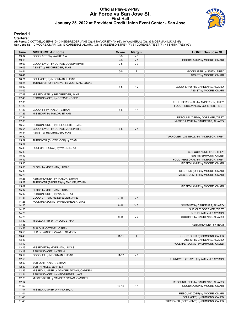#### **Official Play-By-Play Air Force vs San Jose St. First Half January 25, 2022 at Provident Credit Union Event Center - San Jose**



### **Period 1**

<mark>Starters:</mark><br>Air Force: 0 OCTAVE,JOSEPH (G); 3 HEIDBREDER,JAKE (G); 5 TAYLOR,ETHAN (G); 10 WALKER,AJ (G); 35 MOERMAN,LUCAS (F);<br>San Jose St.: 10 MOORE,OMARI (G); 13 CARDENAS,ALVARO (G); 15 ANDERSON,TREY (F); 31 GORENER,TIBE

| Time           | <b>VISITORS: Air Force</b>                             | <b>Score</b> | <b>Margin</b>  | HOME: San Jose St.                     |
|----------------|--------------------------------------------------------|--------------|----------------|----------------------------------------|
| 19:34          | GOOD! 3PTR by WALKER, AJ                               | $0 - 3$      | $V_3$          |                                        |
| 19:16          |                                                        | $2 - 3$      | V <sub>1</sub> | GOOD! LAYUP by MOORE, OMARI            |
| 19:03          | GOOD! LAYUP by OCTAVE, JOSEPH [PNT]                    | $2 - 5$      | $V_3$          |                                        |
| 19:03          | ASSIST by HEIDBREDER, JAKE                             |              |                |                                        |
| 18:41          |                                                        | $5-5$        | T              | GOOD! 3PTR by SMITH, TREY              |
| 18:41          |                                                        |              |                | ASSIST by MOORE, OMARI                 |
| 18:21          | FOUL (OFF) by MOERMAN, LUCAS                           |              |                |                                        |
| 18:21          | TURNOVER (OFFENSIVE) by MOERMAN, LUCAS                 |              |                |                                        |
| 18:09          |                                                        | $7 - 5$      | H <sub>2</sub> | GOOD! LAYUP by CARDENAS, ALVARO        |
| 18:09          |                                                        |              |                | ASSIST by MOORE, OMARI                 |
| 17:48          | MISSED 3PTR by HEIDBREDER, JAKE                        |              |                |                                        |
| 17:48          | REBOUND (OFF) by OCTAVE, JOSEPH                        |              |                |                                        |
| 17:35          |                                                        |              |                | FOUL (PERSONAL) by ANDERSON, TREY      |
| 17:23          |                                                        |              |                | FOUL (PERSONAL) by GORENER, TIBET      |
| 17:23          | GOOD! FT by TAYLOR, ETHAN                              | $7-6$        | H <sub>1</sub> |                                        |
| 17:23          | MISSED FT by TAYLOR, ETHAN                             |              |                |                                        |
| 17:21          |                                                        |              |                | REBOUND (DEF) by GORENER, TIBET        |
| 17:00          |                                                        |              |                | MISSED LAYUP by CARDENAS, ALVARO       |
| 16:58          | REBOUND (DEF) by HEIDBREDER, JAKE                      |              |                |                                        |
| 16:54          | GOOD! LAYUP by OCTAVE, JOSEPH [FB]                     | $7 - 8$      | V <sub>1</sub> |                                        |
| 16:54          | ASSIST by HEIDBREDER, JAKE                             |              |                |                                        |
| 16:30          |                                                        |              |                | TURNOVER (LOSTBALL) by ANDERSON, TREY  |
| 15:59          | TURNOVER (SHOTCLOCK) by TEAM                           |              |                |                                        |
| 15:59          |                                                        |              |                |                                        |
| 15:49          | FOUL (PERSONAL) by WALKER, AJ                          |              |                |                                        |
| 15:49          |                                                        |              |                | SUB OUT: ANDERSON, TREY                |
| 15:49          |                                                        |              |                | SUB IN: SIMMONS, CALEB                 |
| 15:49          |                                                        |              |                | FOUL (PERSONAL) by ANDERSON, TREY      |
| 15:30          |                                                        |              |                | MISSED LAYUP by MOORE, OMARI           |
| 15:30          | BLOCK by MOERMAN, LUCAS                                |              |                |                                        |
| 15:30          |                                                        |              |                | REBOUND (OFF) by MOORE, OMARI          |
| 15:28          |                                                        |              |                | MISSED JUMPER by MOORE, OMARI          |
| 15:25          | REBOUND (DEF) by TAYLOR, ETHAN                         |              |                |                                        |
| 15:22<br>15:07 | TURNOVER (BADPASS) by TAYLOR, ETHAN                    |              |                |                                        |
|                |                                                        |              |                | MISSED LAYUP by MOORE, OMARI           |
| 15:07<br>15:02 | BLOCK by MOERMAN, LUCAS<br>REBOUND (DEF) by WALKER, AJ |              |                |                                        |
| 14:51          | GOOD! 3PTR by HEIDBREDER, JAKE                         | $7 - 11$     | V <sub>4</sub> |                                        |
| 14:25          | FOUL (PERSONAL) by HEIDBREDER, JAKE                    |              |                |                                        |
| 14:25          |                                                        | $8 - 11$     | V <sub>3</sub> | GOOD! FT by CARDENAS, ALVARO           |
| 14:25          |                                                        |              |                | SUB OUT: GORENER, TIBET                |
| 14:25          |                                                        |              |                | SUB IN: AMEY, JR., MYRON               |
| 14:25          |                                                        | $9 - 11$     | V <sub>2</sub> | GOOD! FT by CARDENAS, ALVARO           |
| 13:59          | MISSED 3PTR by TAYLOR, ETHAN                           |              |                |                                        |
| 13:56          |                                                        |              |                | REBOUND (DEF) by TEAM                  |
| 13:56          | SUB OUT: OCTAVE, JOSEPH                                |              |                |                                        |
| 13:56          | SUB IN: VANDER ZWAAG, CAMDEN                           |              |                |                                        |
| 13:43          |                                                        | $11 - 11$    | T              | GOOD! DUNK by SIMMONS, CALEB           |
| 13:43          |                                                        |              |                | ASSIST by CARDENAS, ALVARO             |
| 13:19          |                                                        |              |                | FOUL (PERSONAL) by SIMMONS, CALEB      |
| 13:19          | MISSED FT by MOERMAN, LUCAS                            |              |                |                                        |
| 13:19          | REBOUND (OFF) by TEAM                                  |              |                |                                        |
| 13:19          | GOOD! FT by MOERMAN, LUCAS                             | $11 - 12$    | V <sub>1</sub> |                                        |
| 12:50          |                                                        |              |                | TURNOVER (TRAVEL) by AMEY, JR., MYRON  |
| 12:50          | SUB OUT: TAYLOR, ETHAN                                 |              |                |                                        |
| 12:50          | SUB IN: MILLS, JEFFREY                                 |              |                |                                        |
| 12:26          | MISSED JUMPER by VANDER ZWAAG, CAMDEN                  |              |                |                                        |
| 12:21          | REBOUND (OFF) by HEIDBREDER, JAKE                      |              |                |                                        |
| 12:20          | MISSED 3PTR by VANDER ZWAAG, CAMDEN                    |              |                |                                        |
| 12:14          |                                                        |              |                | REBOUND (DEF) by CARDENAS, ALVARO      |
| 11:59          |                                                        | $13 - 12$    | H 1            | GOOD! LAYUP by MOORE, OMARI            |
| 11:47          | MISSED JUMPER by WALKER, AJ                            |              |                |                                        |
| 11:44          |                                                        |              |                | REBOUND (DEF) by MOORE, OMARI          |
| 11:40          |                                                        |              |                | FOUL (OFF) by SIMMONS, CALEB           |
| 11:40          |                                                        |              |                | TURNOVER (OFFENSIVE) by SIMMONS, CALEB |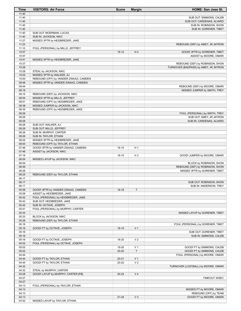| Time           | <b>VISITORS: Air Force</b>                               | <b>Score</b> | <b>Margin</b>  | <b>HOME: San Jose St.</b>                                     |
|----------------|----------------------------------------------------------|--------------|----------------|---------------------------------------------------------------|
| 11:40          |                                                          |              |                |                                                               |
| 11:40          |                                                          |              |                | SUB OUT: SIMMONS, CALEB                                       |
| 11:40<br>11:40 |                                                          |              |                | SUB OUT: CARDENAS, ALVARO<br>SUB IN: ROBINSON, SHON           |
| 11:40          |                                                          |              |                | SUB IN: GORENER, TIBET                                        |
| 11:40          | SUB OUT: MOERMAN, LUCAS                                  |              |                |                                                               |
| 11:40          | SUB IN: JACKSON, NIKC                                    |              |                |                                                               |
| 11:27          | MISSED 3PTR by HEIDBREDER, JAKE                          |              |                |                                                               |
| 11:23          |                                                          |              |                | REBOUND (DEF) by AMEY, JR., MYRON                             |
| 11:10          | FOUL (PERSONAL) by MILLS, JEFFREY                        |              |                |                                                               |
| 10:57<br>10:57 |                                                          | $16-12$      | H4             | GOOD! 3PTR by GORENER, TIBET<br>ASSIST by MOORE, OMARI        |
| 10:41          | MISSED 3PTR by HEIDBREDER, JAKE                          |              |                |                                                               |
| 10:37          |                                                          |              |                | REBOUND (DEF) by ROBINSON, SHON                               |
| 10:28          |                                                          |              |                | TURNOVER (BADPASS) by AMEY, JR., MYRON                        |
| 10:28          | STEAL by JACKSON, NIKC                                   |              |                |                                                               |
| 10:03          | MISSED 3PTR by WALKER, AJ                                |              |                |                                                               |
| 10:00          | REBOUND (OFF) by VANDER ZWAAG, CAMDEN                    |              |                |                                                               |
| 09:48          | MISSED 3PTR by VANDER ZWAAG, CAMDEN                      |              |                |                                                               |
| 09:44<br>09:18 |                                                          |              |                | REBOUND (DEF) by MOORE, OMARI<br>MISSED JUMPER by SMITH, TREY |
| 09:15          | REBOUND (DEF) by JACKSON, NIKC                           |              |                |                                                               |
| 08:54          | MISSED 3PTR by MILLS, JEFFREY                            |              |                |                                                               |
| 08:51          | REBOUND (OFF) by HEIDBREDER, JAKE                        |              |                |                                                               |
| 08:38          | MISSED JUMPER by JACKSON, NIKC                           |              |                |                                                               |
| 08:35          | REBOUND (OFF) by HEIDBREDER, JAKE                        |              |                |                                                               |
| 08:26          |                                                          |              |                | FOUL (PERSONAL) by SMITH, TREY                                |
| 08:26          |                                                          |              |                | SUB OUT: AMEY, JR., MYRON                                     |
| 08:26<br>08:26 | SUB OUT: WALKER, AJ                                      |              |                | SUB IN: CARDENAS, ALVARO                                      |
| 08:26          | SUB OUT: MILLS, JEFFREY                                  |              |                |                                                               |
| 08:26          | SUB IN: MURPHY, CARTER                                   |              |                |                                                               |
| 08:26          | SUB IN: TAYLOR, ETHAN                                    |              |                |                                                               |
| 08:04          | MISSED 3PTR by HEIDBREDER, JAKE                          |              |                |                                                               |
| 08:00          | REBOUND (OFF) by TAYLOR, ETHAN                           |              |                |                                                               |
| 07:46          | GOOD! 3PTR by VANDER ZWAAG, CAMDEN                       | $16-15$      | H <sub>1</sub> |                                                               |
| 07:46<br>07:19 | ASSIST by JACKSON, NIKC                                  | 18-15        | $H_3$          |                                                               |
| 06:54          | MISSED LAYUP by JACKSON, NIKC                            |              |                | GOOD! JUMPER by MOORE, OMARI                                  |
| 06:54          |                                                          |              |                | BLOCK by ROBINSON, SHON                                       |
| 06:49          |                                                          |              |                | REBOUND (DEF) by ROBINSON, SHON                               |
| 06:28          |                                                          |              |                | MISSED 3PTR by GORENER, TIBET                                 |
| 06:25          | REBOUND (DEF) by TAYLOR, ETHAN                           |              |                |                                                               |
| 06:17          |                                                          |              |                |                                                               |
| 06:17          |                                                          |              |                | SUB OUT: ROBINSON, SHON                                       |
| 06:17<br>05:58 | GOOD! 3PTR by VANDER ZWAAG, CAMDEN                       | $18-18$      | T              | SUB IN: ANDERSON, TREY                                        |
| 05:58          | ASSIST by HEIDBREDER, JAKE                               |              |                |                                                               |
| 05:42          | FOUL (PERSONAL) by HEIDBREDER, JAKE                      |              |                |                                                               |
| 05:42          | SUB OUT: HEIDBREDER, JAKE                                |              |                |                                                               |
| 05:42          | SUB IN: OCTAVE, JOSEPH                                   |              |                |                                                               |
| 05:41          | FOUL (PERSONAL) by MURPHY, CARTER                        |              |                |                                                               |
| 05:33          |                                                          |              |                | MISSED LAYUP by GORENER, TIBET                                |
| 05:33<br>05:26 | BLOCK by JACKSON, NIKC<br>REBOUND (DEF) by TAYLOR, ETHAN |              |                |                                                               |
| 05:16          |                                                          |              |                | FOUL (PERSONAL) by GORENER, TIBET                             |
| 05:16          | GOOD! FT by OCTAVE, JOSEPH                               | 18-19        | V <sub>1</sub> |                                                               |
| 05:16          |                                                          |              |                | SUB OUT: GORENER, TIBET                                       |
| 05:16          |                                                          |              |                | SUB IN: SIMMONS, CALEB                                        |
| 05:16          | GOOD! FT by OCTAVE, JOSEPH                               | 18-20        | V <sub>2</sub> |                                                               |
| 05:02          | FOUL (PERSONAL) by OCTAVE, JOSEPH                        |              |                |                                                               |
| 05:02          |                                                          | 19-20        | V <sub>1</sub> | GOOD! FT by SIMMONS, CALEB                                    |
| 05:02<br>04:44 |                                                          | $20 - 20$    | T.             | GOOD! FT by SIMMONS, CALEB<br>FOUL (PERSONAL) by MOORE, OMARI |
| 04:44          | GOOD! FT by TAYLOR, ETHAN                                | $20 - 21$    | V <sub>1</sub> |                                                               |
| 04:44          | GOOD! FT by TAYLOR, ETHAN                                | 20-22        | V <sub>2</sub> |                                                               |
| 04:32          |                                                          |              |                | TURNOVER (LOSTBALL) by MOORE, OMARI                           |
| 04:32          | STEAL by MURPHY, CARTER                                  |              |                |                                                               |
| 04:28          | GOOD! LAYUP by MURPHY, CARTER [FB]                       | $20 - 24$    | V <sub>4</sub> |                                                               |
| 04:27          |                                                          |              |                | TIMEOUT 30SEC                                                 |
| 04:27          |                                                          |              |                |                                                               |
| 04:13          | FOUL (PERSONAL) by TAYLOR, ETHAN                         |              |                |                                                               |
| 04:13<br>04:13 |                                                          |              |                | MISSED FT by MOORE, OMARI<br>REBOUND (OFF) by TEAM            |
| 04:13          |                                                          | $21 - 24$    | $V_3$          | GOOD! FT by MOORE, OMARI                                      |
| 03:52          | MISSED LAYUP by TAYLOR, ETHAN                            |              |                |                                                               |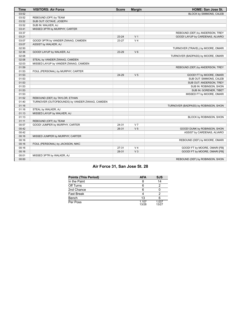| <b>Time</b> | <b>VISITORS: Air Force</b>                     | <b>Score</b> | <b>Margin</b>  | HOME: San Jose St.                   |
|-------------|------------------------------------------------|--------------|----------------|--------------------------------------|
| 03:52       |                                                |              |                | BLOCK by SIMMONS, CALEB              |
| 03:52       | REBOUND (OFF) by TEAM                          |              |                |                                      |
| 03:52       | SUB OUT: OCTAVE, JOSEPH                        |              |                |                                      |
| 03:52       | SUB IN: WALKER, AJ                             |              |                |                                      |
| 03:41       | MISSED 3PTR by MURPHY, CARTER                  |              |                |                                      |
| 03:37       |                                                |              |                | REBOUND (DEF) by ANDERSON, TREY      |
| 03:21       |                                                | $23 - 24$    | V <sub>1</sub> | GOOD! LAYUP by CARDENAS, ALVARO      |
| 03:07       | GOOD! 3PTR by VANDER ZWAAG, CAMDEN             | 23-27        | V <sub>4</sub> |                                      |
| 03:07       | ASSIST by WALKER, AJ                           |              |                |                                      |
| 02:50       |                                                |              |                | TURNOVER (TRAVEL) by MOORE, OMARI    |
| 02:36       | GOOD! LAYUP by WALKER, AJ                      | 23-29        | $V_6$          |                                      |
| 02:08       |                                                |              |                | TURNOVER (BADPASS) by MOORE, OMARI   |
| 02:08       | STEAL by VANDER ZWAAG, CAMDEN                  |              |                |                                      |
| 02:03       | MISSED LAYUP by VANDER ZWAAG, CAMDEN           |              |                |                                      |
| 01:59       |                                                |              |                | REBOUND (DEF) by ANDERSON, TREY      |
| 01:53       | FOUL (PERSONAL) by MURPHY, CARTER              |              |                |                                      |
| 01:53       |                                                | 24-29        | V <sub>5</sub> | GOOD! FT by MOORE, OMARI             |
| 01:53       |                                                |              |                | SUB OUT: SIMMONS, CALEB              |
| 01:53       |                                                |              |                | SUB OUT: ANDERSON, TREY              |
| 01:53       |                                                |              |                | SUB IN: ROBINSON, SHON               |
| 01:53       |                                                |              |                | SUB IN: GORENER, TIBET               |
| 01:53       |                                                |              |                | MISSED FT by MOORE, OMARI            |
| 01:52       | REBOUND (DEF) by TAYLOR, ETHAN                 |              |                |                                      |
| 01:40       | TURNOVER (OUTOFBOUNDS) by VANDER ZWAAG, CAMDEN |              |                |                                      |
| 01:16       |                                                |              |                | TURNOVER (BADPASS) by ROBINSON, SHON |
| 01:16       | STEAL by WALKER, AJ                            |              |                |                                      |
| 01:13       | MISSED LAYUP by WALKER, AJ                     |              |                |                                      |
| 01:13       |                                                |              |                | BLOCK by ROBINSON, SHON              |
| 01:11       | REBOUND (OFF) by TEAM                          |              |                |                                      |
| 00:57       | GOOD! JUMPER by MURPHY, CARTER                 | 24-31        | V <sub>7</sub> |                                      |
| 00:42       |                                                | $26-31$      | V <sub>5</sub> | GOOD! DUNK by ROBINSON, SHON         |
| 00:42       |                                                |              |                | ASSIST by CARDENAS, ALVARO           |
| 00:16       | MISSED JUMPER by MURPHY, CARTER                |              |                |                                      |
| 00:16       |                                                |              |                | REBOUND (DEF) by MOORE, OMARI        |
| 00:16       | FOUL (PERSONAL) by JACKSON, NIKC               |              |                |                                      |
| 00:16       |                                                | 27-31        | V <sub>4</sub> | GOOD! FT by MOORE, OMARI [FB]        |
| 00:16       |                                                | 28-31        | V <sub>3</sub> | GOOD! FT by MOORE, OMARI [FB]        |
| 00:01       | MISSED 3PTR by WALKER, AJ                      |              |                |                                      |
| 00:00       |                                                |              |                | REBOUND (DEF) by ROBINSON, SHON      |

# **Air Force 31, San Jose St. 28**

| <b>Points (This Period)</b> | <b>AFA</b>     | <b>SJS</b>     |
|-----------------------------|----------------|----------------|
| In the Paint                |                | 14             |
| Off Turns                   | 6              |                |
| 2nd Chance                  | 6              |                |
| <b>Fast Break</b>           |                |                |
| Bench                       | 1.3            |                |
| Per Poss                    | 1.107<br>13/28 | 1.037<br>13/27 |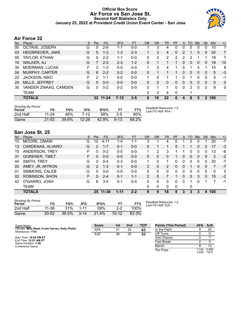### **Official Box Score Air Force vs San Jose St. Second Half Statistics Only January 25, 2022 at Provident Credit Union Event Center - San Jose**



# **Air Force 32**

| No. | Player                | S | <b>Pts</b> | FG       | 3FG     | <b>FT</b> | <b>OR</b> | <b>DR</b> | TR             | PF             | A        | TO | <b>Blk</b>   | Stl            | Min      | $+/-$          |
|-----|-----------------------|---|------------|----------|---------|-----------|-----------|-----------|----------------|----------------|----------|----|--------------|----------------|----------|----------------|
| 00  | OCTAVE, JOSEPH        | G | 5          | $2-6$    | $1 - 1$ | $0 - 0$   |           | 3         | 4              | 0              | 0        | 0  | 0            | 0              | 10       | $\overline{7}$ |
| 03  | HEIDBREDER, JAKE      | G | 5          | $1 - 3$  | $1 - 3$ | $2 - 3$   | 1.        | 3         | 4              | $\mathbf{0}$   | 2        |    | 0            | 0              | 20       | $\overline{7}$ |
| 05  | TAYLOR, ETHAN         | G | 5          | $2 - 2$  | $1 - 1$ | $0 - 0$   | 0         | 2         | $\overline{2}$ | $\overline{2}$ | 2        | 2  |              |                | 18       | $\overline{7}$ |
| 10  | <b>WALKER, AJ</b>     | G | 7          | $2 - 5$  | $2 - 3$ | $1 - 2$   | 0         |           |                |                | 0        | 0  | $\Omega$     | 0              | 18       | 10             |
| 35  | <b>MOERMAN, LUCAS</b> | F | 2          | 1-3      | $0 - 0$ | $0-0$     | 1.        | 3         | 4              |                | 0        | 1  | 4            |                | 15       | 8              |
| 04  | <b>MURPHY, CARTER</b> | G | 6          | $2 - 2$  | $2 - 2$ | $0 - 0$   | 0         |           |                |                | 0        | 0  | $\mathbf{0}$ | $\Omega$       | 5        | -3             |
| 22  | <b>JACKSON, NIKC</b>  | F | 2          | $1 - 1$  | $0 - 0$ | $0 - 0$   | 1.        | 0         |                |                | 0        | 1  | 0            | $\Omega$       | 5        | -1             |
| 24  | MILLS, JEFFREY        | G | $\Omega$   | $0 - 0$  | $0 - 0$ | $0 - 0$   | 0         | 0         | $\Omega$       | 0              | $\Omega$ | 0  | $\Omega$     | 0              | $\Omega$ | $\mathbf{0}$   |
| 30  | VANDER ZWAAG, CAMDEN  | G | 0          | $0 - 2$  | $0 - 2$ | $0 - 0$   | $\Omega$  | 1         | 1              | $\Omega$       | 0        | 2  | 0            | $\Omega$       | 9        | $\mathbf{0}$   |
|     | TEAM                  |   |            |          |         |           | 2         | 2         | 4              | 0              |          |    |              |                |          |                |
|     | <b>TOTALS</b>         |   |            | 32 11-24 | $7-12$  | $3 - 5$   | 6         | 16        | 22             | 6              | 4        | 8  | 5            | $\overline{2}$ | 100      |                |
|     |                       |   |            |          |         |           |           |           |                |                |          |    |              |                |          |                |

| <b>Shooting By Period</b><br>Period | FG        | FG%   | 3FG       | 3FG%  |          | FT%   | Deadball Rebounds: 1,0<br>Last FG Half: AFA - |
|-------------------------------------|-----------|-------|-----------|-------|----------|-------|-----------------------------------------------|
| 2nd Half                            | 11-24     | 46%   | 7-12      | .58%  | $3 - 5$  | 60%   |                                               |
| Game                                | $21 - 53$ | 39.6% | $12 - 28$ | 42.9% | $9 - 13$ | 69.2% |                                               |

# **San Jose St. 25**

| No. | Player                | S  | <b>Pts</b>    | <b>FG</b> | 3FG      | <b>FT</b> | <b>OR</b>      | <b>DR</b> | <b>TR</b>      | PF | A        | TO | <b>Blk</b>   | Stl      | Min         | $+/-$        |
|-----|-----------------------|----|---------------|-----------|----------|-----------|----------------|-----------|----------------|----|----------|----|--------------|----------|-------------|--------------|
| 10  | MOORE, OMARI          | G  | 10            | 4-11      | 1-4      | $1 - 1$   | 3              |           | 4              |    |          | 0  | 0            |          | 20          | $-7$         |
| 13  | CARDENAS, ALVARO      | G  | $\mathcal{P}$ | $1 - 7$   | 0-1      | $0 - 0$   | 0              |           |                | 5  |          |    | 0            | 2        | 17          | $-3$         |
| 15  | ANDERSON, TREY        | F  | 0             | $0 - 2$   | $0 - 0$  | $0 - 0$   | 1.             | 2         | 3              |    | 1        | 0  | 0            | 0        | 13          | -6           |
| 31  | <b>GORENER, TIBET</b> | F. | 0             | $0 - 0$   | $0 - 0$  | $0 - 0$   | 0              | 0         | 0              | 1  | 0        | 0  | $\mathbf{0}$ | 0        | 2           | $-2$         |
| 44  | SMITH, TREY           | G  | 0             | $0 - 4$   | $0 - 3$  | $0 - 0$   | 1.             | 0         |                | 0  | 0        | 0  | 0            | 0        | 20          | $-7$         |
| 00  | AMEY, JR., MYRON      | G  | $\mathcal{P}$ | $1 - 3$   | $0 - 1$  | $0 - 0$   | $\overline{2}$ | 0         | $\overline{2}$ | 0  | 0        |    | 0            | $\Omega$ | 7           | $-7$         |
| 01  | SIMMONS, CALEB        | G  | $\Omega$      | $0 - 0$   | $0 - 0$  | $0-0$     | 0              | 0         | 0              | 0  | 0        | 0  | 0            | 0        | $\mathbf 0$ | $\mathbf{0}$ |
| 02  | ROBINSON, SHON        | F. | 5             | $2 - 4$   | $0 - 1$  | $1 - 1$   | 2              | 5         |                |    | $\Omega$ | 0  | 3            | 0        | 15          | $-2$         |
| 42  | O'GARRO, JOSH         | G  | 6             | $3-5$     | $0 - 1$  | $0 - 0$   | $\Omega$       | 0         | 0              | 0  | 0        |    | 0            |          | 7           | -1           |
|     | <b>TEAM</b>           |    |               |           |          |           | 0              | 0         | 0              | 0  |          | 0  |              |          |             |              |
|     | <b>TOTALS</b>         |    |               | 25 11-36  | $1 - 11$ | $2 - 2$   | 9              | 9         | 18             | 8  | 3        | 3  | 3            | 4        | 100         |              |
|     |                       |    |               |           |          |           |                |           |                |    |          |    |              |          |             |              |

| <b>Shooting By Period</b><br><b>Period</b> | FG        | FG%   | 3FG      | 3FG%  | FТ        | FT%   |  |
|--------------------------------------------|-----------|-------|----------|-------|-----------|-------|--|
| 2nd Half                                   | 11-36     | 31%   | $1 - 11$ | 09%   | $2-2$     | 100%  |  |
| Game                                       | $20 - 52$ | 38.5% | $3 - 14$ | 21.4% | $10 - 12$ | 83.3% |  |

*Deadball Rebounds:* 1,0 *Last FG Half:* SJS -

| Game Notes:                                                           | <b>Score</b> | 1st | 2 <sub>nd</sub> | <b>TOT</b> | <b>Points (This Period)</b> | <b>AFA</b>     | <b>SJS</b>     |
|-----------------------------------------------------------------------|--------------|-----|-----------------|------------|-----------------------------|----------------|----------------|
| Officials: Mike Reed, Frank Harvey, Kelly Pfeifer<br>Attendance: 1743 | <b>AFA</b>   | 31  | 32              | 63         | In the Paint                |                | 20             |
|                                                                       | <b>SJS</b>   | 28  | 25              | 53         | Off Turns                   |                |                |
| Start Time: 10:05 PM ET                                               |              |     |                 |            | 2nd Chance                  |                |                |
| End Time: 12:01 AM ET<br>Game Duration: 1:56                          |              |     |                 |            | <b>Fast Break</b>           |                |                |
| Conference Game:                                                      |              |     |                 |            | Bench                       |                | 13             |
|                                                                       |              |     |                 |            | Per Poss                    | 1.143<br>13/28 | 0.806<br>12/31 |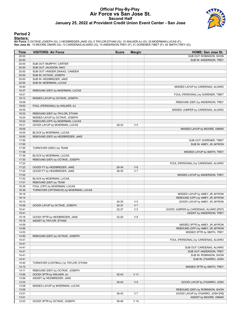#### **Official Play-By-Play Air Force vs San Jose St. Second Half January 25, 2022 at Provident Credit Union Event Center - San Jose**



### **Period 2**

<mark>Starters:</mark><br>Air Force: 0 OCTAVE,JOSEPH (G); 3 HEIDBREDER,JAKE (G); 5 TAYLOR,ETHAN (G); 10 WALKER,AJ (G); 35 MOERMAN,LUCAS (F);<br>San Jose St.: 10 MOORE,OMARI (G); 13 CARDENAS,ALVARO (G); 15 ANDERSON,TREY (F); 31 GORENER,TIBE

| Time  | <b>VISITORS: Air Force</b>             | <b>Score</b> | <b>Margin</b>  | HOME: San Jose St.                     |
|-------|----------------------------------------|--------------|----------------|----------------------------------------|
| 20:00 |                                        |              |                | SUB OUT: ROBINSON, SHON                |
| 20:00 |                                        |              |                | SUB IN: ANDERSON, TREY                 |
| 20:00 | SUB OUT: MURPHY, CARTER                |              |                |                                        |
| 20:00 | SUB OUT: JACKSON, NIKC                 |              |                |                                        |
| 20:00 | SUB OUT: VANDER ZWAAG, CAMDEN          |              |                |                                        |
| 20:00 | SUB IN: OCTAVE, JOSEPH                 |              |                |                                        |
| 20:00 | SUB IN: HEIDBREDER, JAKE               |              |                |                                        |
| 20:00 | SUB IN: MOERMAN, LUCAS                 |              |                |                                        |
| 19:40 |                                        |              |                | MISSED LAYUP by CARDENAS, ALVARO       |
| 19:37 | REBOUND (DEF) by MOERMAN, LUCAS        |              |                |                                        |
| 19:21 |                                        |              |                | FOUL (PERSONAL) by GORENER, TIBET      |
| 19:12 | MISSED LAYUP by OCTAVE, JOSEPH         |              |                |                                        |
| 19:09 |                                        |              |                | REBOUND (DEF) by ANDERSON, TREY        |
| 18:53 | FOUL (PERSONAL) by WALKER, AJ          |              |                |                                        |
| 18:35 |                                        |              |                | MISSED JUMPER by CARDENAS, ALVARO      |
| 18:32 | REBOUND (DEF) by TAYLOR, ETHAN         |              |                |                                        |
| 18:24 | MISSED LAYUP by OCTAVE, JOSEPH         |              |                |                                        |
| 18:22 | REBOUND (OFF) by MOERMAN, LUCAS        |              |                |                                        |
| 18:21 | GOOD! LAYUP by MOERMAN, LUCAS          | 28-33        | V <sub>5</sub> |                                        |
| 18:05 |                                        |              |                | MISSED LAYUP by MOORE, OMARI           |
| 18:05 | BLOCK by MOERMAN, LUCAS                |              |                |                                        |
| 18:00 | REBOUND (DEF) by HEIDBREDER, JAKE      |              |                |                                        |
| 17:55 |                                        |              |                | SUB OUT: GORENER, TIBET                |
| 17:55 |                                        |              |                | SUB IN: AMEY, JR., MYRON               |
| 17:55 | TURNOVER (5SEC) by TEAM                |              |                |                                        |
| 17:36 |                                        |              |                | MISSED LAYUP by SMITH, TREY            |
| 17:36 | BLOCK by MOERMAN, LUCAS                |              |                |                                        |
| 17:30 | REBOUND (DEF) by OCTAVE, JOSEPH        |              |                |                                        |
| 17:22 |                                        |              |                | FOUL (PERSONAL) by CARDENAS, ALVARO    |
| 17:22 | GOOD! FT by HEIDBREDER, JAKE           | 28-34        | $V_6$          |                                        |
| 17:22 | GOOD! FT by HEIDBREDER, JAKE           | 28-35        | V <sub>7</sub> |                                        |
| 17:02 |                                        |              |                | MISSED LAYUP by ANDERSON, TREY         |
| 17:02 | BLOCK by MOERMAN, LUCAS                |              |                |                                        |
| 17:01 | REBOUND (DEF) by TEAM                  |              |                |                                        |
| 16:39 | FOUL (OFF) by MOERMAN, LUCAS           |              |                |                                        |
| 16:39 | TURNOVER (OFFENSIVE) by MOERMAN, LUCAS |              |                |                                        |
| 16:16 |                                        |              |                | MISSED LAYUP by AMEY, JR., MYRON       |
| 16:14 |                                        |              |                | REBOUND (OFF) by AMEY, JR., MYRON      |
| 16:13 |                                        | 30-35        | V <sub>5</sub> | GOOD! LAYUP by AMEY, JR., MYRON        |
| 15:59 | GOOD! LAYUP by OCTAVE, JOSEPH          | 30-37        | V <sub>7</sub> |                                        |
| 15:41 |                                        | 32-37        | V <sub>5</sub> | GOOD! JUMPER by CARDENAS, ALVARO [PNT] |
| 15:41 |                                        |              |                | ASSIST by ANDERSON, TREY               |
| 15:18 | GOOD! 3PTR by HEIDBREDER, JAKE         | 32-40        | V8             |                                        |
| 15:18 | ASSIST by TAYLOR, ETHAN                |              |                |                                        |
| 14:59 |                                        |              |                | MISSED 3PTR by AMEY, JR., MYRON        |
|       |                                        |              |                | REBOUND (OFF) by AMEY, JR., MYRON      |
| 14:56 |                                        |              |                |                                        |
| 14:53 |                                        |              |                | MISSED 3PTR by SMITH, TREY             |
| 14:50 | REBOUND (DEF) by OCTAVE, JOSEPH        |              |                |                                        |
| 14:41 |                                        |              |                | FOUL (PERSONAL) by CARDENAS, ALVARO    |
| 14:41 |                                        |              |                |                                        |
| 14:41 |                                        |              |                | SUB OUT: CARDENAS, ALVARO              |
| 14:41 |                                        |              |                | SUB OUT: ANDERSON, TREY                |
| 14:41 |                                        |              |                | SUB IN: ROBINSON, SHON                 |
| 14:41 |                                        |              |                | SUB IN: O'GARRO, JOSH                  |
| 14:40 | TURNOVER (LOSTBALL) by TAYLOR, ETHAN   |              |                |                                        |
| 14:15 |                                        |              |                | MISSED 3PTR by SMITH, TREY             |
| 14:11 | REBOUND (DEF) by OCTAVE, JOSEPH        |              |                |                                        |
| 13:56 | GOOD! 3PTR by WALKER, AJ               | $32 - 43$    | $V$ 11         |                                        |
| 13:56 | ASSIST by HEIDBREDER, JAKE             |              |                |                                        |
| 13:33 |                                        | $34-43$      | V <sub>9</sub> | GOOD! LAYUP by O'GARRO, JOSH           |
| 13:08 | MISSED LAYUP by MOERMAN, LUCAS         |              |                |                                        |
| 13:05 |                                        |              |                | REBOUND (DEF) by ROBINSON, SHON        |
| 13:01 |                                        | 36-43        | V <sub>7</sub> | GOOD! LAYUP by O'GARRO, JOSH [FB]      |
| 13:01 |                                        |              |                | ASSIST by MOORE, OMARI                 |
| 12:43 | GOOD! 3PTR by OCTAVE, JOSEPH           | 36-46        | $V$ 10         |                                        |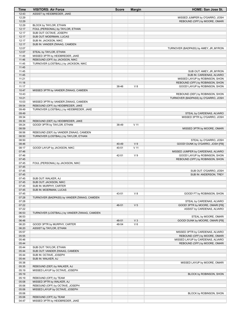| Time           | <b>VISITORS: Air Force</b>                               | <b>Score</b> | <b>Margin</b>  | <b>HOME: San Jose St.</b>              |
|----------------|----------------------------------------------------------|--------------|----------------|----------------------------------------|
| 12:43          | ASSIST by HEIDBREDER, JAKE                               |              |                |                                        |
| 12:29          |                                                          |              |                | MISSED JUMPER by O'GARRO, JOSH         |
| 12:29          |                                                          |              |                | REBOUND (OFF) by MOORE, OMARI          |
| 12:29          | BLOCK by TAYLOR, ETHAN                                   |              |                |                                        |
| 12:17          | FOUL (PERSONAL) by TAYLOR, ETHAN                         |              |                |                                        |
| 12:17          | SUB OUT: OCTAVE, JOSEPH                                  |              |                |                                        |
| 12:17          | SUB OUT: MOERMAN, LUCAS                                  |              |                |                                        |
| 12:17<br>12:17 | SUB IN: JACKSON, NIKC<br>SUB IN: VANDER ZWAAG, CAMDEN    |              |                |                                        |
| 12:07          |                                                          |              |                | TURNOVER (BADPASS) by AMEY, JR., MYRON |
| 12:07          | STEAL by TAYLOR, ETHAN                                   |              |                |                                        |
| 11:49          | MISSED 3PTR by HEIDBREDER, JAKE                          |              |                |                                        |
| 11:46          | REBOUND (OFF) by JACKSON, NIKC                           |              |                |                                        |
| 11:45          | TURNOVER (LOSTBALL) by JACKSON, NIKC                     |              |                |                                        |
| 11:45          |                                                          |              |                |                                        |
| 11:45          |                                                          |              |                | SUB OUT: AMEY, JR., MYRON              |
| 11:45          |                                                          |              |                | SUB IN: CARDENAS, ALVARO               |
| 11:21          |                                                          |              |                | MISSED LAYUP by ROBINSON, SHON         |
| 11:18          |                                                          |              |                | REBOUND (OFF) by ROBINSON, SHON        |
| 11:17          |                                                          | 38-46        | V8             | GOOD! LAYUP by ROBINSON, SHON          |
| 10:47          | MISSED 3PTR by VANDER ZWAAG, CAMDEN                      |              |                |                                        |
| 10:43          |                                                          |              |                | REBOUND (DEF) by ROBINSON, SHON        |
| 10:21          |                                                          |              |                | TURNOVER (BADPASS) by O'GARRO, JOSH    |
| 10:03          | MISSED 3PTR by VANDER ZWAAG, CAMDEN                      |              |                |                                        |
| 09:54          | REBOUND (OFF) by HEIDBREDER, JAKE                        |              |                |                                        |
| 09:49          | TURNOVER (LOSTBALL) by HEIDBREDER, JAKE                  |              |                |                                        |
| 09:49          |                                                          |              |                | STEAL by CARDENAS, ALVARO              |
| 09:34          |                                                          |              |                | MISSED 3PTR by O'GARRO, JOSH           |
| 09:30          | REBOUND (DEF) by HEIDBREDER, JAKE                        |              |                |                                        |
| 09:24          | GOOD! 3PTR by TAYLOR, ETHAN                              | 38-49        | $V$ 11         |                                        |
| 08:59          |                                                          |              |                | MISSED 3PTR by MOORE, OMARI            |
| 08:56          | REBOUND (DEF) by VANDER ZWAAG, CAMDEN                    |              |                |                                        |
| 08:50          | TURNOVER (LOSTBALL) by TAYLOR, ETHAN                     |              |                |                                        |
| 08:50          |                                                          |              |                | STEAL by O'GARRO, JOSH                 |
| 08:46          |                                                          | 40-49        | V <sub>9</sub> | GOOD! DUNK by O'GARRO, JOSH [FB]       |
| 08:17          | GOOD! LAYUP by JACKSON, NIKC                             | 40-51        | $V$ 11         |                                        |
| 07:46          |                                                          |              |                | MISSED JUMPER by CARDENAS, ALVARO      |
| 07:46          |                                                          | 42-51        | V <sub>9</sub> | GOOD! LAYUP by ROBINSON, SHON          |
| 07:45          |                                                          |              |                | REBOUND (OFF) by ROBINSON, SHON        |
| 07:45          | FOUL (PERSONAL) by JACKSON, NIKC                         |              |                |                                        |
| 07:45<br>07:45 |                                                          |              |                | SUB OUT: O'GARRO, JOSH                 |
| 07:45          |                                                          |              |                | SUB IN: ANDERSON, TREY                 |
| 07:45          | SUB OUT: WALKER, AJ                                      |              |                |                                        |
| 07:45          | SUB OUT: JACKSON, NIKC                                   |              |                |                                        |
| 07:45          | SUB IN: MURPHY, CARTER                                   |              |                |                                        |
| 07:45          | SUB IN: MOERMAN, LUCAS                                   |              |                |                                        |
| 07:45          |                                                          | 43-51        | V8             | GOOD! FT by ROBINSON, SHON             |
| 07:28          | TURNOVER (BADPASS) by VANDER ZWAAG, CAMDEN               |              |                |                                        |
| 07:28          |                                                          |              |                | STEAL by CARDENAS, ALVARO              |
| 07:22          |                                                          | 46-51        | V <sub>5</sub> | GOOD! 3PTR by MOORE, OMARI [FB]        |
| 07:22          |                                                          |              |                | ASSIST by CARDENAS, ALVARO             |
| 06:53          | TURNOVER (LOSTBALL) by VANDER ZWAAG, CAMDEN              |              |                |                                        |
| 06:53          |                                                          |              |                | STEAL by MOORE, OMARI                  |
| 06:48          |                                                          | 48-51        | V <sub>3</sub> | GOOD! DUNK by MOORE, OMARI [FB]        |
| 06:20          | GOOD! 3PTR by MURPHY, CARTER                             | 48-54        | $V_6$          |                                        |
| 06:20          | ASSIST by TAYLOR, ETHAN                                  |              |                |                                        |
| 05:57          |                                                          |              |                | MISSED 3PTR by CARDENAS, ALVARO        |
| 05:55          |                                                          |              |                | REBOUND (OFF) by MOORE, OMARI          |
| 05:46          |                                                          |              |                | MISSED LAYUP by CARDENAS, ALVARO       |
| 05:44          |                                                          |              |                | REBOUND (OFF) by MOORE, OMARI          |
| 05:44          | SUB OUT: TAYLOR, ETHAN                                   |              |                |                                        |
| 05:44          | SUB OUT: VANDER ZWAAG, CAMDEN                            |              |                |                                        |
| 05:44          | SUB IN: OCTAVE, JOSEPH                                   |              |                |                                        |
| 05:44          | SUB IN: WALKER, AJ                                       |              |                |                                        |
| 05:38          |                                                          |              |                | MISSED LAYUP by MOORE, OMARI           |
| 05:35          | REBOUND (DEF) by WALKER, AJ                              |              |                |                                        |
| 05:19          | MISSED LAYUP by OCTAVE, JOSEPH                           |              |                |                                        |
| 05:19          |                                                          |              |                | BLOCK by ROBINSON, SHON                |
| 05:19          | REBOUND (OFF) by TEAM                                    |              |                |                                        |
| 05:08          | MISSED 3PTR by WALKER, AJ                                |              |                |                                        |
| 05:06          | REBOUND (OFF) by OCTAVE, JOSEPH                          |              |                |                                        |
| 05:06          | MISSED LAYUP by OCTAVE, JOSEPH                           |              |                |                                        |
| 05:06<br>05:06 |                                                          |              |                | BLOCK by ROBINSON, SHON                |
| 04:47          | REBOUND (OFF) by TEAM<br>MISSED 3PTR by HEIDBREDER, JAKE |              |                |                                        |
|                |                                                          |              |                |                                        |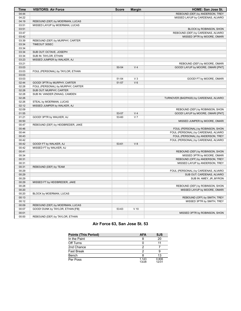| <b>Time</b> | <b>VISITORS: Air Force</b>        | <b>Score</b> | <b>Margin</b>  | HOME: San Jose St.                     |
|-------------|-----------------------------------|--------------|----------------|----------------------------------------|
| 04:44       |                                   |              |                | REBOUND (DEF) by ANDERSON, TREY        |
| 04:22       |                                   |              |                | MISSED LAYUP by CARDENAS, ALVARO       |
| 04:19       | REBOUND (DEF) by MOERMAN, LUCAS   |              |                |                                        |
| 03:51       | MISSED LAYUP by MOERMAN, LUCAS    |              |                |                                        |
| 03:51       |                                   |              |                | BLOCK by ROBINSON, SHON                |
| 03:47       |                                   |              |                | REBOUND (DEF) by CARDENAS, ALVARO      |
| 03:42       |                                   |              |                | MISSED 3PTR by MOORE, OMARI            |
| 03:39       | REBOUND (DEF) by MURPHY, CARTER   |              |                |                                        |
| 03:34       | TIMEOUT 30SEC                     |              |                |                                        |
| 03:34       |                                   |              |                |                                        |
| 03:34       | SUB OUT: OCTAVE, JOSEPH           |              |                |                                        |
| 03:34       | SUB IN: TAYLOR, ETHAN             |              |                |                                        |
| 03:23       | MISSED JUMPER by WALKER, AJ       |              |                |                                        |
| 03:21       |                                   |              |                | REBOUND (DEF) by MOORE, OMARI          |
| 03:03       |                                   | 50-54        | V <sub>4</sub> | GOOD! LAYUP by MOORE, OMARI [PNT]      |
| 03:03       | FOUL (PERSONAL) by TAYLOR, ETHAN  |              |                |                                        |
| 03:03       |                                   |              |                |                                        |
| 03:03       |                                   | 51-54        | $V_3$          | GOOD! FT by MOORE, OMARI               |
| 02:44       | GOOD! 3PTR by MURPHY, CARTER      | 51-57        | $V_6$          |                                        |
| 02:28       | FOUL (PERSONAL) by MURPHY, CARTER |              |                |                                        |
| 02:28       | SUB OUT: MURPHY, CARTER           |              |                |                                        |
| 02:28       | SUB IN: VANDER ZWAAG, CAMDEN      |              |                |                                        |
| 02:26       |                                   |              |                | TURNOVER (BADPASS) by CARDENAS, ALVARO |
| 02:26       | STEAL by MOERMAN, LUCAS           |              |                |                                        |
| 02:12       | MISSED JUMPER by WALKER, AJ       |              |                |                                        |
| 02:09       |                                   |              |                | REBOUND (DEF) by ROBINSON, SHON        |
| 01:55       |                                   | 53-57        | V <sub>4</sub> | GOOD! LAYUP by MOORE, OMARI [PNT]      |
| 01:21       | GOOD! 3PTR by WALKER, AJ          | 53-60        | V <sub>7</sub> |                                        |
| 00:50       |                                   |              |                | MISSED JUMPER by MOORE, OMARI          |
| 00:47       | REBOUND (DEF) by HEIDBREDER, JAKE |              |                |                                        |
| 00:46       |                                   |              |                | FOUL (PERSONAL) by ROBINSON, SHON      |
| 00:44       |                                   |              |                | FOUL (PERSONAL) by CARDENAS, ALVARO    |
| 00:43       |                                   |              |                | FOUL (PERSONAL) by ANDERSON, TREY      |
| 00:42       |                                   |              |                | FOUL (PERSONAL) by CARDENAS, ALVARO    |
| 00:42       | GOOD! FT by WALKER, AJ            | 53-61        | V8             |                                        |
| 00:42       | MISSED FT by WALKER, AJ           |              |                |                                        |
| 00:41       |                                   |              |                | REBOUND (DEF) by ROBINSON, SHON        |
| 00:34       |                                   |              |                | MISSED 3PTR by MOORE, OMARI            |
| 00:31       |                                   |              |                | REBOUND (OFF) by ANDERSON, TREY        |
| 00:31       |                                   |              |                | MISSED LAYUP by ANDERSON, TREY         |
| 00:31       | REBOUND (DEF) by TEAM             |              |                |                                        |
| 00:29       |                                   |              |                | FOUL (PERSONAL) by CARDENAS, ALVARO    |
| 00:29       |                                   |              |                | SUB OUT: CARDENAS, ALVARO              |
| 00:29       |                                   |              |                | SUB IN: AMEY, JR., MYRON               |
| 00:29       | MISSED FT by HEIDBREDER, JAKE     |              |                |                                        |
| 00:28       |                                   |              |                | REBOUND (DEF) by ROBINSON, SHON        |
| 00:20       |                                   |              |                | MISSED LAYUP by MOORE, OMARI           |
| 00:20       | BLOCK by MOERMAN, LUCAS           |              |                |                                        |
| 00:13       |                                   |              |                | REBOUND (OFF) by SMITH, TREY           |
| 00:12       |                                   |              |                | MISSED 3PTR by SMITH, TREY             |
| 00:09       | REBOUND (DEF) by MOERMAN, LUCAS   |              |                |                                        |
| 00:07       | GOOD! DUNK by TAYLOR, ETHAN [FB]  | 53-63        | $V$ 10         |                                        |
| 00:01       |                                   |              |                | MISSED 3PTR by ROBINSON, SHON          |
| 00:00       | REBOUND (DEF) by TAYLOR, ETHAN    |              |                |                                        |
|             |                                   |              |                |                                        |

# **Air Force 63, San Jose St. 53**

| <b>Points (This Period)</b> | <b>AFA</b>     | <b>SJS</b>     |
|-----------------------------|----------------|----------------|
| In the Paint                |                | 20             |
| Off Turns                   |                |                |
| 2nd Chance                  | າ              |                |
| <b>Fast Break</b>           | າ              |                |
| Bench                       |                | 13             |
| Per Poss                    | 1.143<br>13/28 | 0.806<br>12/31 |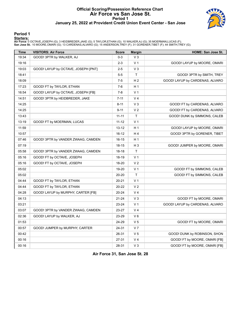#### **Official Scoring/Possession Reference Chart Air Force vs San Jose St. Period 1 January 25, 2022 at Provident Credit Union Event Center - San Jose**



### **Period 1**

<mark>Starters:</mark><br>Air Force: 0 OCTAVE,JOSEPH (G); 3 HEIDBREDER,JAKE (G); 5 TAYLOR,ETHAN (G); 10 WALKER,AJ (G); 35 MOERMAN,LUCAS (F);<br>San Jose St.: 10 MOORE,OMARI (G); 13 CARDENAS,ALVARO (G); 15 ANDERSON,TREY (F); 31 GORENER,TIBE

| <b>Time</b> | <b>VISITORS: Air Force</b>          | <b>Score</b> | <b>Margin</b>  | HOME: San Jose St.              |
|-------------|-------------------------------------|--------------|----------------|---------------------------------|
| 19:34       | GOOD! 3PTR by WALKER, AJ            | $0-3$        | V <sub>3</sub> |                                 |
| 19:16       |                                     | 2-3          | V <sub>1</sub> | GOOD! LAYUP by MOORE, OMARI     |
| 19:03       | GOOD! LAYUP by OCTAVE, JOSEPH [PNT] | $2 - 5$      | $V_3$          |                                 |
| 18:41       |                                     | $5 - 5$      | T.             | GOOD! 3PTR by SMITH, TREY       |
| 18:09       |                                     | $7 - 5$      | H <sub>2</sub> | GOOD! LAYUP by CARDENAS, ALVARO |
| 17:23       | GOOD! FT by TAYLOR, ETHAN           | 7-6          | H 1            |                                 |
| 16:54       | GOOD! LAYUP by OCTAVE, JOSEPH [FB]  | $7 - 8$      | V <sub>1</sub> |                                 |
| 14:51       | GOOD! 3PTR by HEIDBREDER, JAKE      | $7 - 11$     | V <sub>4</sub> |                                 |
| 14:25       |                                     | $8 - 11$     | $V_3$          | GOOD! FT by CARDENAS, ALVARO    |
| 14:25       |                                     | $9 - 11$     | V <sub>2</sub> | GOOD! FT by CARDENAS, ALVARO    |
| 13:43       |                                     | $11 - 11$    | T              | GOOD! DUNK by SIMMONS, CALEB    |
| 13:19       | GOOD! FT by MOERMAN, LUCAS          | $11 - 12$    | V <sub>1</sub> |                                 |
| 11:59       |                                     | $13 - 12$    | H 1            | GOOD! LAYUP by MOORE, OMARI     |
| 10:57       |                                     | 16-12        | H 4            | GOOD! 3PTR by GORENER, TIBET    |
| 07:46       | GOOD! 3PTR by VANDER ZWAAG, CAMDEN  | 16-15        | H 1            |                                 |
| 07:19       |                                     | 18-15        | H <sub>3</sub> | GOOD! JUMPER by MOORE, OMARI    |
| 05:58       | GOOD! 3PTR by VANDER ZWAAG, CAMDEN  | 18-18        | T.             |                                 |
| 05:16       | GOOD! FT by OCTAVE, JOSEPH          | 18-19        | V <sub>1</sub> |                                 |
| 05:16       | GOOD! FT by OCTAVE, JOSEPH          | 18-20        | V <sub>2</sub> |                                 |
| 05:02       |                                     | 19-20        | V <sub>1</sub> | GOOD! FT by SIMMONS, CALEB      |
| 05:02       |                                     | 20-20        | T.             | GOOD! FT by SIMMONS, CALEB      |
| 04:44       | GOOD! FT by TAYLOR, ETHAN           | 20-21        | V <sub>1</sub> |                                 |
| 04:44       | GOOD! FT by TAYLOR, ETHAN           | 20-22        | V <sub>2</sub> |                                 |
| 04:28       | GOOD! LAYUP by MURPHY, CARTER [FB]  | 20-24        | V <sub>4</sub> |                                 |
| 04:13       |                                     | 21-24        | $V_3$          | GOOD! FT by MOORE, OMARI        |
| 03:21       |                                     | 23-24        | V <sub>1</sub> | GOOD! LAYUP by CARDENAS, ALVARO |
| 03:07       | GOOD! 3PTR by VANDER ZWAAG, CAMDEN  | 23-27        | V <sub>4</sub> |                                 |
| 02:36       | GOOD! LAYUP by WALKER, AJ           | 23-29        | $V_6$          |                                 |
| 01:53       |                                     | 24-29        | V <sub>5</sub> | GOOD! FT by MOORE, OMARI        |
| 00:57       | GOOD! JUMPER by MURPHY, CARTER      | 24-31        | V <sub>7</sub> |                                 |
| 00:42       |                                     | 26-31        | V <sub>5</sub> | GOOD! DUNK by ROBINSON, SHON    |
| 00:16       |                                     | 27-31        | V <sub>4</sub> | GOOD! FT by MOORE, OMARI [FB]   |
| 00:16       |                                     | 28-31        | $V_3$          | GOOD! FT by MOORE, OMARI [FB]   |

**Air Force 31, San Jose St. 28**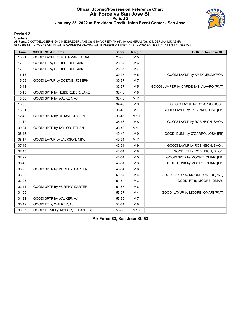#### **Official Scoring/Possession Reference Chart Air Force vs San Jose St. Period 2 January 25, 2022 at Provident Credit Union Event Center - San Jose**



#### **Period 2**

<mark>Starters:</mark><br>Air Force: 0 OCTAVE,JOSEPH (G); 3 HEIDBREDER,JAKE (G); 5 TAYLOR,ETHAN (G); 10 WALKER,AJ (G); 35 MOERMAN,LUCAS (F);<br>San Jose St.: 10 MOORE,OMARI (G); 13 CARDENAS,ALVARO (G); 15 ANDERSON,TREY (F); 31 GORENER,TIBE

| <b>Time</b> | <b>VISITORS: Air Force</b>       | <b>Score</b> | <b>Margin</b>   | HOME: San Jose St.                     |
|-------------|----------------------------------|--------------|-----------------|----------------------------------------|
| 18:21       | GOOD! LAYUP by MOERMAN, LUCAS    | 28-33        | V <sub>5</sub>  |                                        |
| 17:22       | GOOD! FT by HEIDBREDER, JAKE     | 28-34        | $V_6$           |                                        |
| 17:22       | GOOD! FT by HEIDBREDER, JAKE     | 28-35        | V <sub>7</sub>  |                                        |
| 16:13       |                                  | 30-35        | V <sub>5</sub>  | GOOD! LAYUP by AMEY, JR., MYRON        |
| 15:59       | GOOD! LAYUP by OCTAVE, JOSEPH    | 30-37        | V <sub>7</sub>  |                                        |
| 15:41       |                                  | 32-37        | V <sub>5</sub>  | GOOD! JUMPER by CARDENAS, ALVARO [PNT] |
| 15:18       | GOOD! 3PTR by HEIDBREDER, JAKE   | 32-40        | V8              |                                        |
| 13:56       | GOOD! 3PTR by WALKER, AJ         | $32 - 43$    | $V$ 11          |                                        |
| 13:33       |                                  | 34-43        | V <sub>9</sub>  | GOOD! LAYUP by O'GARRO, JOSH           |
| 13:01       |                                  | 36-43        | V <sub>7</sub>  | GOOD! LAYUP by O'GARRO, JOSH [FB]      |
| 12:43       | GOOD! 3PTR by OCTAVE, JOSEPH     | 36-46        | $V$ 10          |                                        |
| 11:17       |                                  | 38-46        | V8              | GOOD! LAYUP by ROBINSON, SHON          |
| 09:24       | GOOD! 3PTR by TAYLOR, ETHAN      | 38-49        | V <sub>11</sub> |                                        |
| 08:46       |                                  | 40-49        | V <sub>9</sub>  | GOOD! DUNK by O'GARRO, JOSH [FB]       |
| 08:17       | GOOD! LAYUP by JACKSON, NIKC     | 40-51        | V <sub>11</sub> |                                        |
| 07:46       |                                  | 42-51        | V <sub>9</sub>  | GOOD! LAYUP by ROBINSON, SHON          |
| 07:45       |                                  | 43-51        | V8              | GOOD! FT by ROBINSON, SHON             |
| 07:22       |                                  | 46-51        | V <sub>5</sub>  | GOOD! 3PTR by MOORE, OMARI [FB]        |
| 06:48       |                                  | 48-51        | V <sub>3</sub>  | GOOD! DUNK by MOORE, OMARI [FB]        |
| 06:20       | GOOD! 3PTR by MURPHY, CARTER     | 48-54        | $V_6$           |                                        |
| 03:03       |                                  | 50-54        | V <sub>4</sub>  | GOOD! LAYUP by MOORE, OMARI [PNT]      |
| 03:03       |                                  | 51-54        | $V_3$           | GOOD! FT by MOORE, OMARI               |
| 02:44       | GOOD! 3PTR by MURPHY, CARTER     | 51-57        | $V_6$           |                                        |
| 01:55       |                                  | 53-57        | V <sub>4</sub>  | GOOD! LAYUP by MOORE, OMARI [PNT]      |
| 01:21       | GOOD! 3PTR by WALKER, AJ         | 53-60        | V <sub>7</sub>  |                                        |
| 00:42       | GOOD! FT by WALKER, AJ           | 53-61        | V 8             |                                        |
| 00:07       | GOOD! DUNK by TAYLOR, ETHAN [FB] | 53-63        | $V$ 10          |                                        |

**Air Force 63, San Jose St. 53**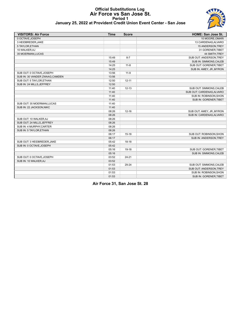# **Official Substitutions Log Air Force vs San Jose St. Period 1**



| January 25, 2022 at Provident Credit Union Event Center - San Jose |  |
|--------------------------------------------------------------------|--|
|--------------------------------------------------------------------|--|

| <b>VISITORS: Air Force</b>      | <b>Time</b> | <b>Score</b> | <b>HOME: San Jose St.</b> |
|---------------------------------|-------------|--------------|---------------------------|
| 0 OCTAVE, JOSEPH                |             |              | 10 MOORE, OMARI           |
| 3 HEIDBREDER.JAKE               |             |              | 13 CARDENAS, ALVARO       |
| 5 TAYLOR, ETHAN                 |             |              | 15 ANDERSON, TREY         |
| 10 WALKER, AJ                   |             |              | 31 GORENER, TIBET         |
| 35 MOERMAN, LUCAS               |             |              | 44 SMITH, TREY            |
|                                 | 15:49       | $8 - 7$      | SUB OUT: ANDERSON, TREY   |
|                                 | 15:49       |              | SUB IN: SIMMONS, CALEB    |
|                                 | 14:25       | $11 - 8$     | SUB OUT: GORENER, TIBET   |
|                                 | 14:25       |              | SUB IN: AMEY, JR., MYRON  |
| SUB OUT: 0 OCTAVE, JOSEPH       | 13:56       | $11 - 9$     |                           |
| SUB IN: 30 VANDER ZWAAG, CAMDEN | 13:56       |              |                           |
| SUB OUT: 5 TAYLOR, ETHAN        | 12:50       | $12 - 11$    |                           |
| SUB IN: 24 MILLS, JEFFREY       | 12:50       |              |                           |
|                                 | 11:40       | $12 - 13$    | SUB OUT: SIMMONS, CALEB   |
|                                 | 11:40       |              | SUB OUT: CARDENAS, ALVARO |
|                                 | 11:40       |              | SUB IN: ROBINSON, SHON    |
|                                 | 11:40       |              | SUB IN: GORENER, TIBET    |
| SUB OUT: 35 MOERMAN, LUCAS      | 11:40       |              |                           |
| SUB IN: 22 JACKSON, NIKC        | 11:40       |              |                           |
|                                 | 08:26       | $12 - 16$    | SUB OUT: AMEY, JR., MYRON |
|                                 | 08:26       |              | SUB IN: CARDENAS, ALVARO  |
| SUB OUT: 10 WALKER, AJ          | 08:26       |              |                           |
| SUB OUT: 24 MILLS, JEFFREY      | 08:26       |              |                           |
| SUB IN: 4 MURPHY, CARTER        | 08:26       |              |                           |
| SUB IN: 5 TAYLOR, ETHAN         | 08:26       |              |                           |
|                                 | 06:17       | $15 - 18$    | SUB OUT: ROBINSON, SHON   |
|                                 | 06:17       |              | SUB IN: ANDERSON, TREY    |
| SUB OUT: 3 HEIDBREDER, JAKE     | 05:42       | $18-18$      |                           |
| SUB IN: 0 OCTAVE, JOSEPH        | 05:42       |              |                           |
|                                 | 05:16       | 19-18        | SUB OUT: GORENER, TIBET   |
|                                 | 05:16       |              | SUB IN: SIMMONS, CALEB    |
| SUB OUT: 0 OCTAVE, JOSEPH       | 03:52       | $24 - 21$    |                           |
| SUB IN: 10 WALKER, AJ           | 03:52       |              |                           |
|                                 | 01:53       | 29-24        | SUB OUT: SIMMONS, CALEB   |
|                                 | 01:53       |              | SUB OUT: ANDERSON, TREY   |
|                                 | 01:53       |              | SUB IN: ROBINSON, SHON    |
|                                 | 01:53       |              | SUB IN: GORENER, TIBET    |

**Air Force 31, San Jose St. 28**